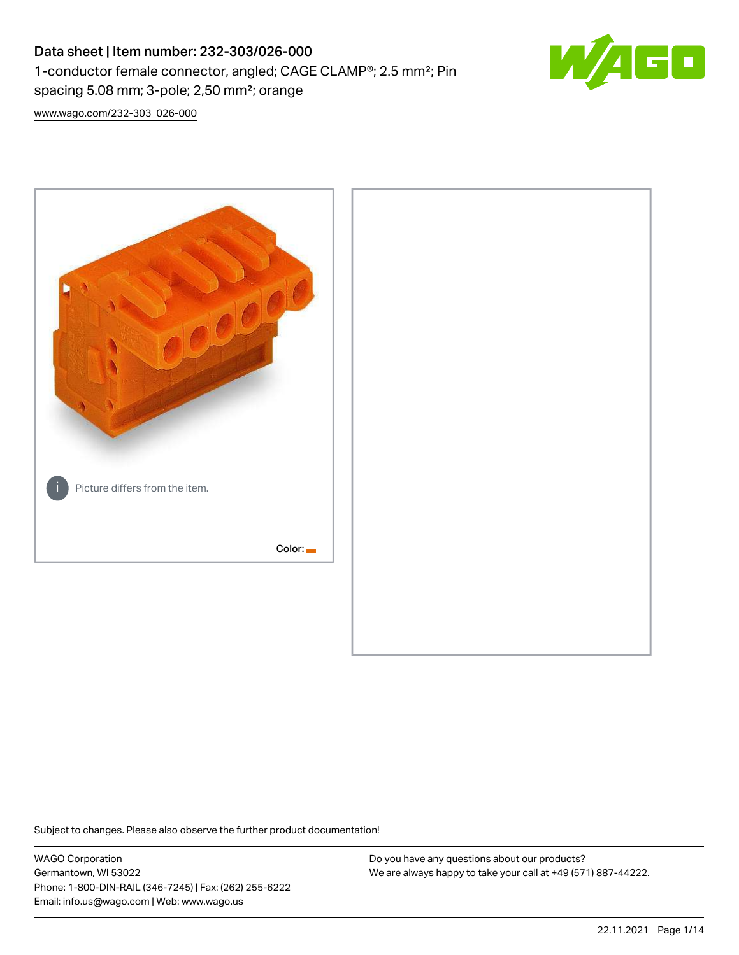## Data sheet | Item number: 232-303/026-000 1-conductor female connector, angled; CAGE CLAMP®; 2.5 mm²; Pin spacing 5.08 mm; 3-pole; 2,50 mm²; orange



[www.wago.com/232-303\\_026-000](http://www.wago.com/232-303_026-000)



Subject to changes. Please also observe the further product documentation!

WAGO Corporation Germantown, WI 53022 Phone: 1-800-DIN-RAIL (346-7245) | Fax: (262) 255-6222 Email: info.us@wago.com | Web: www.wago.us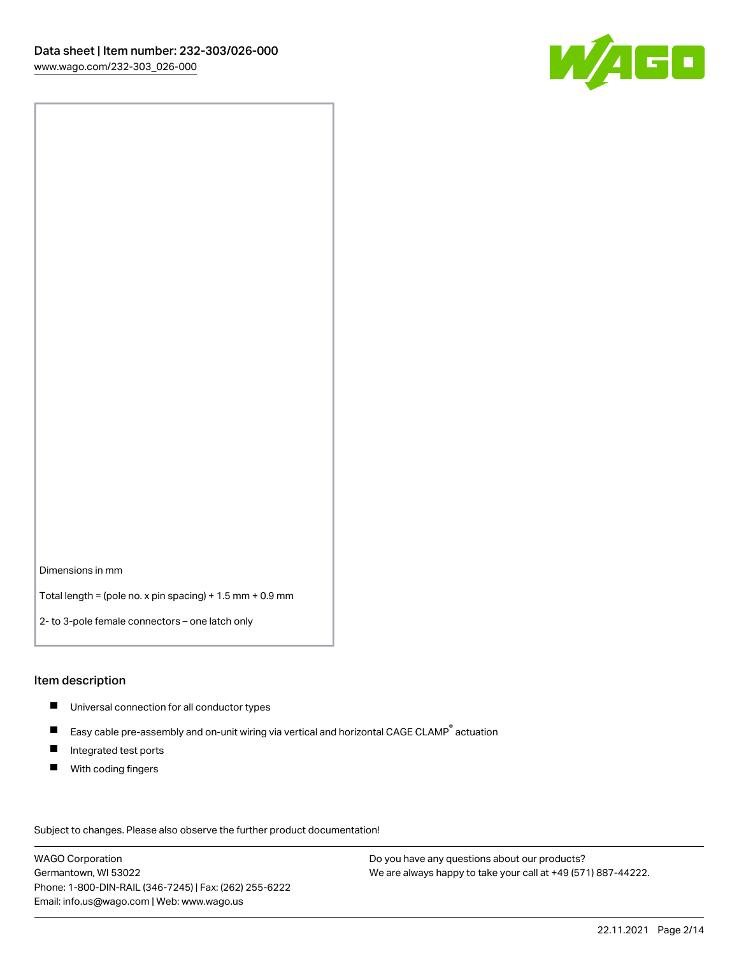

Dimensions in mm

Total length = (pole no. x pin spacing) + 1.5 mm + 0.9 mm

2- to 3-pole female connectors – one latch only

#### Item description

- **Universal connection for all conductor types**
- Easy cable pre-assembly and on-unit wiring via vertical and horizontal CAGE CLAMP<sup>®</sup> actuation  $\blacksquare$
- $\blacksquare$ Integrated test ports
- $\blacksquare$ With coding fingers

Subject to changes. Please also observe the further product documentation! Data

WAGO Corporation Germantown, WI 53022 Phone: 1-800-DIN-RAIL (346-7245) | Fax: (262) 255-6222 Email: info.us@wago.com | Web: www.wago.us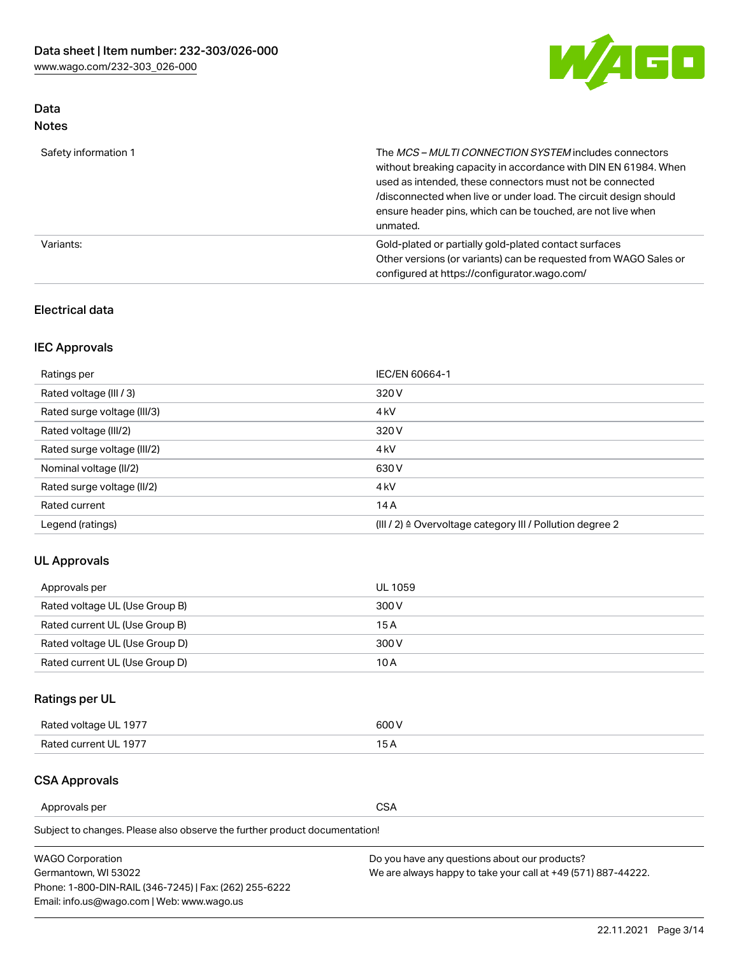

## Data Notes

| Safety information 1 | The MCS-MULTI CONNECTION SYSTEM includes connectors<br>without breaking capacity in accordance with DIN EN 61984. When<br>used as intended, these connectors must not be connected<br>/disconnected when live or under load. The circuit design should<br>ensure header pins, which can be touched, are not live when<br>unmated. |
|----------------------|-----------------------------------------------------------------------------------------------------------------------------------------------------------------------------------------------------------------------------------------------------------------------------------------------------------------------------------|
| Variants:            | Gold-plated or partially gold-plated contact surfaces<br>Other versions (or variants) can be requested from WAGO Sales or<br>configured at https://configurator.wago.com/                                                                                                                                                         |

## Electrical data

## IEC Approvals

| Ratings per                 | IEC/EN 60664-1                                                        |
|-----------------------------|-----------------------------------------------------------------------|
| Rated voltage (III / 3)     | 320 V                                                                 |
| Rated surge voltage (III/3) | 4 <sub>k</sub> V                                                      |
| Rated voltage (III/2)       | 320 V                                                                 |
| Rated surge voltage (III/2) | 4 <sub>k</sub> V                                                      |
| Nominal voltage (II/2)      | 630 V                                                                 |
| Rated surge voltage (II/2)  | 4 <sub>k</sub> V                                                      |
| Rated current               | 14A                                                                   |
| Legend (ratings)            | $(III / 2)$ $\triangle$ Overvoltage category III / Pollution degree 2 |

## UL Approvals

| Approvals per                  | UL 1059 |
|--------------------------------|---------|
| Rated voltage UL (Use Group B) | 300 V   |
| Rated current UL (Use Group B) | 15 A    |
| Rated voltage UL (Use Group D) | 300 V   |
| Rated current UL (Use Group D) | 10 A    |

## Ratings per UL

| Rated voltage UL 1977 | 300 V |
|-----------------------|-------|
| Rated current UL 1977 |       |

## CSA Approvals

Approvals per CSA

Subject to changes. Please also observe the further product documentation!

| <b>WAGO Corporation</b>                                | Do you have any questions about our products?                 |
|--------------------------------------------------------|---------------------------------------------------------------|
| Germantown, WI 53022                                   | We are always happy to take your call at +49 (571) 887-44222. |
| Phone: 1-800-DIN-RAIL (346-7245)   Fax: (262) 255-6222 |                                                               |
| Email: info.us@wago.com   Web: www.wago.us             |                                                               |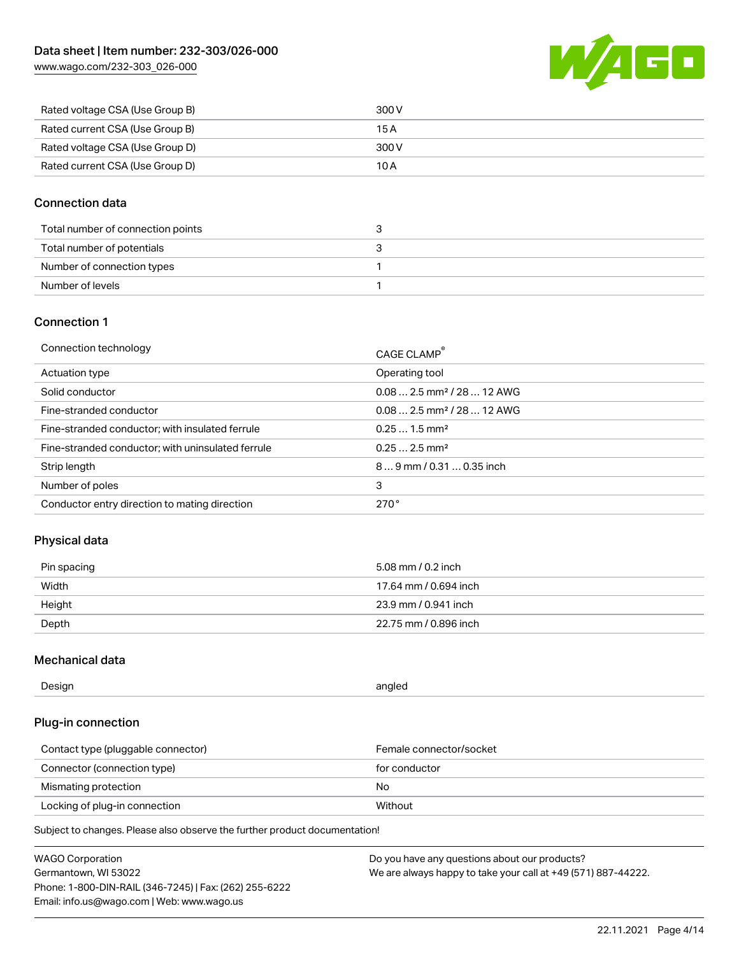

| Rated voltage CSA (Use Group B) | 300 V |
|---------------------------------|-------|
| Rated current CSA (Use Group B) | 15 A  |
| Rated voltage CSA (Use Group D) | 300 V |
| Rated current CSA (Use Group D) | 10 A  |

## Connection data

| Total number of connection points |  |
|-----------------------------------|--|
| Total number of potentials        |  |
| Number of connection types        |  |
| Number of levels                  |  |

## Connection 1

| Connection technology                             | CAGE CLAMP <sup>®</sup>                 |
|---------------------------------------------------|-----------------------------------------|
| Actuation type                                    | Operating tool                          |
| Solid conductor                                   | $0.082.5$ mm <sup>2</sup> / 28  12 AWG  |
| Fine-stranded conductor                           | $0.08$ 2.5 mm <sup>2</sup> / 28  12 AWG |
| Fine-stranded conductor; with insulated ferrule   | $0.251.5$ mm <sup>2</sup>               |
| Fine-stranded conductor; with uninsulated ferrule | $0.252.5$ mm <sup>2</sup>               |
| Strip length                                      | $89$ mm $/$ 0.31  0.35 inch             |
| Number of poles                                   | 3                                       |
| Conductor entry direction to mating direction     | 270°                                    |

## Physical data

| Pin spacing | 5.08 mm / 0.2 inch    |
|-------------|-----------------------|
| Width       | 17.64 mm / 0.694 inch |
| Height      | 23.9 mm / 0.941 inch  |
| Depth       | 22.75 mm / 0.896 inch |

## Mechanical data

| Design<br>angled |  |
|------------------|--|
|------------------|--|

## Plug-in connection

| Contact type (pluggable connector) | Female connector/socket |
|------------------------------------|-------------------------|
| Connector (connection type)        | for conductor           |
| Mismating protection               | No.                     |
| Locking of plug-in connection      | Without                 |

Subject to changes. Please also observe the further product documentation!

| <b>WAGO Corporation</b>                                | Do you have any questions about our products?                 |
|--------------------------------------------------------|---------------------------------------------------------------|
| Germantown, WI 53022                                   | We are always happy to take your call at +49 (571) 887-44222. |
| Phone: 1-800-DIN-RAIL (346-7245)   Fax: (262) 255-6222 |                                                               |
| Email: info.us@wago.com   Web: www.wago.us             |                                                               |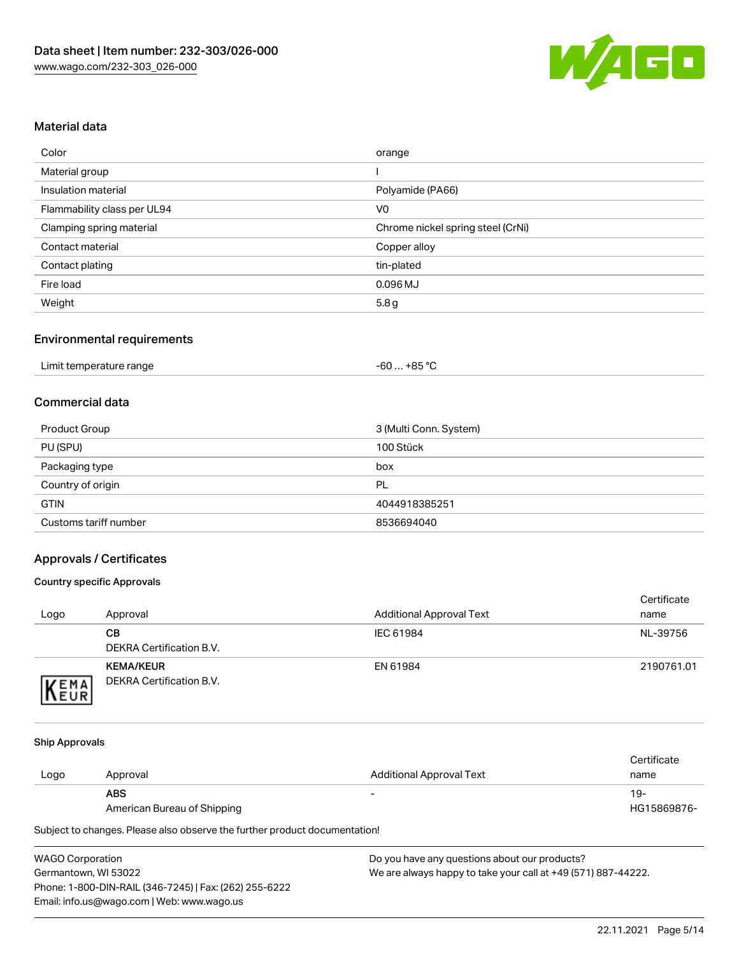

## Material data

| Color                       | orange                            |
|-----------------------------|-----------------------------------|
| Material group              |                                   |
| Insulation material         | Polyamide (PA66)                  |
| Flammability class per UL94 | V <sub>0</sub>                    |
| Clamping spring material    | Chrome nickel spring steel (CrNi) |
| Contact material            | Copper alloy                      |
| Contact plating             | tin-plated                        |
| Fire load                   | 0.096 MJ                          |
| Weight                      | 5.8 <sub>g</sub>                  |

## Environmental requirements

| . +85 °C<br>Limit temperature range<br>co.<br>-00 |  |
|---------------------------------------------------|--|
|---------------------------------------------------|--|

### Commercial data

| Product Group         | 3 (Multi Conn. System) |
|-----------------------|------------------------|
| PU (SPU)              | 100 Stück              |
| Packaging type        | box                    |
| Country of origin     | PL                     |
| <b>GTIN</b>           | 4044918385251          |
| Customs tariff number | 8536694040             |

## Approvals / Certificates

#### Country specific Approvals

| Logo                | Approval                                     | <b>Additional Approval Text</b> | Certificate<br>name |
|---------------------|----------------------------------------------|---------------------------------|---------------------|
|                     | CВ<br>DEKRA Certification B.V.               | IEC 61984                       | NL-39756            |
| EMA<br><b>INEUR</b> | <b>KEMA/KEUR</b><br>DEKRA Certification B.V. | EN 61984                        | 2190761.01          |

#### Ship Approvals

|      |                             |                          | Certificate |
|------|-----------------------------|--------------------------|-------------|
| Logo | Approval                    | Additional Approval Text | name        |
|      | <b>ABS</b>                  | $\overline{\phantom{0}}$ | 19-         |
|      | American Bureau of Shipping |                          | HG15869876- |

Subject to changes. Please also observe the further product documentation!

| <b>WAGO Corporation</b>                                |   |
|--------------------------------------------------------|---|
| Germantown, WI 53022                                   | N |
| Phone: 1-800-DIN-RAIL (346-7245)   Fax: (262) 255-6222 |   |
| Email: info.us@wago.com   Web: www.wago.us             |   |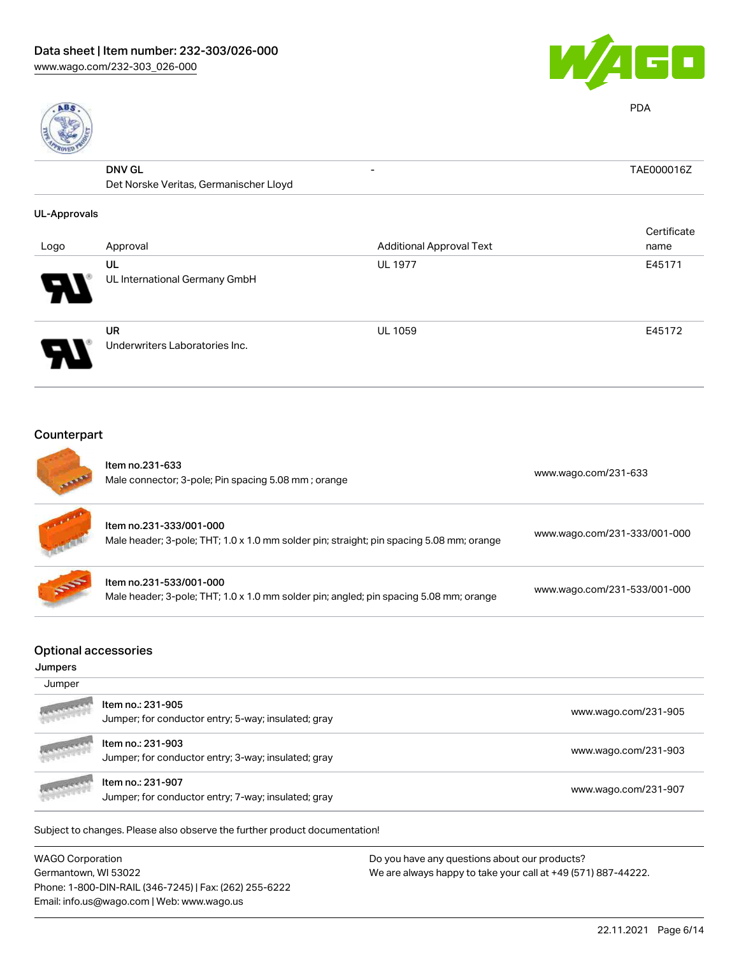



PDA

| 38                  |                                        |                                 |             |
|---------------------|----------------------------------------|---------------------------------|-------------|
|                     | <b>DNV GL</b>                          | $\overline{\phantom{a}}$        | TAE000016Z  |
|                     | Det Norske Veritas, Germanischer Lloyd |                                 |             |
| <b>UL-Approvals</b> |                                        |                                 |             |
|                     |                                        |                                 | Certificate |
| Logo                | Approval                               | <b>Additional Approval Text</b> | name        |
|                     | UL                                     | <b>UL 1977</b>                  | E45171      |
|                     | UL International Germany GmbH          |                                 |             |
|                     | <b>UR</b>                              | <b>UL 1059</b>                  | E45172      |
|                     | Underwriters Laboratories Inc.         |                                 |             |

## Counterpart

| Item no.231-633<br>Male connector; 3-pole; Pin spacing 5.08 mm; orange                                              | www.wago.com/231-633         |
|---------------------------------------------------------------------------------------------------------------------|------------------------------|
| Item no.231-333/001-000<br>Male header; 3-pole; THT; 1.0 x 1.0 mm solder pin; straight; pin spacing 5.08 mm; orange | www.wago.com/231-333/001-000 |
| Item no.231-533/001-000<br>Male header; 3-pole; THT; 1.0 x 1.0 mm solder pin; angled; pin spacing 5.08 mm; orange   | www.wago.com/231-533/001-000 |
|                                                                                                                     |                              |
|                                                                                                                     |                              |
|                                                                                                                     | <b>Optional accessories</b>  |

| <b>ANTICOLOGICA</b> | Item no.: 231-907<br>Jumper; for conductor entry; 7-way; insulated; gray | www.wago.com/231-907 |
|---------------------|--------------------------------------------------------------------------|----------------------|
| <b>ARANGERS</b>     | Item no.: 231-903<br>Jumper; for conductor entry; 3-way; insulated; gray | www.wago.com/231-903 |
| <b>ARE CAREER</b>   | ltem no.: 231-905<br>Jumper; for conductor entry; 5-way; insulated; gray | www.wago.com/231-905 |

Subject to changes. Please also observe the further product documentation!

WAGO Corporation Germantown, WI 53022 Phone: 1-800-DIN-RAIL (346-7245) | Fax: (262) 255-6222 Email: info.us@wago.com | Web: www.wago.us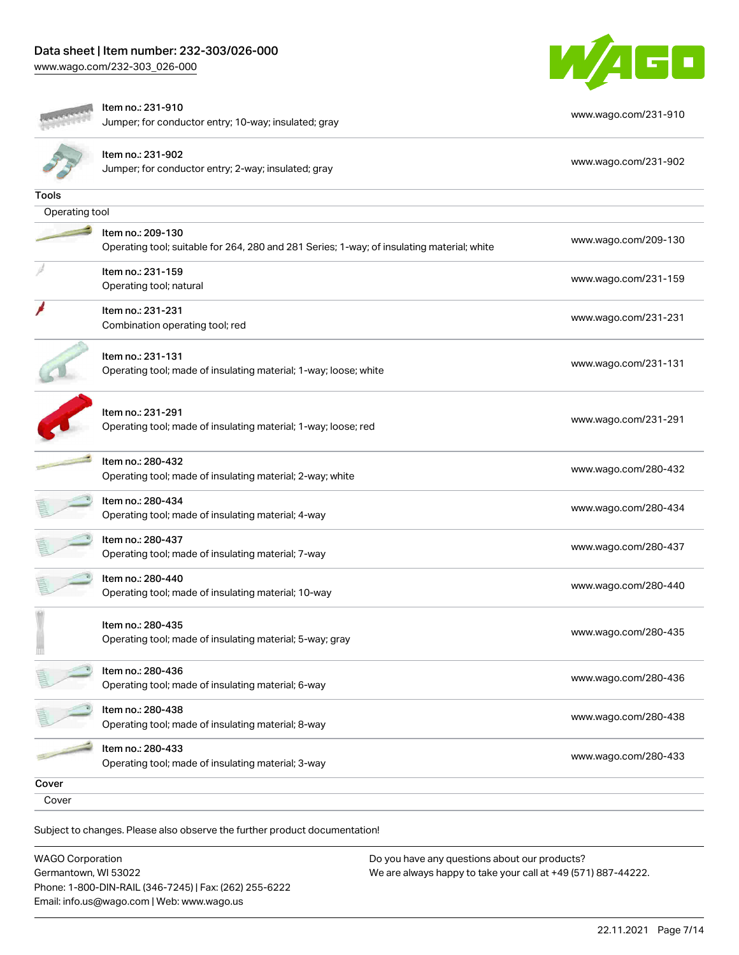

|                | Item no.: 231-910<br>Jumper; for conductor entry; 10-way; insulated; gray                  | www.wago.com/231-910 |
|----------------|--------------------------------------------------------------------------------------------|----------------------|
|                |                                                                                            |                      |
|                | Item no.: 231-902                                                                          | www.wago.com/231-902 |
|                | Jumper; for conductor entry; 2-way; insulated; gray                                        |                      |
| Tools          |                                                                                            |                      |
| Operating tool |                                                                                            |                      |
|                | Item no.: 209-130                                                                          |                      |
|                | Operating tool; suitable for 264, 280 and 281 Series; 1-way; of insulating material; white | www.wago.com/209-130 |
|                | Item no.: 231-159                                                                          |                      |
|                | Operating tool; natural                                                                    | www.wago.com/231-159 |
|                | Item no.: 231-231                                                                          |                      |
|                | Combination operating tool; red                                                            | www.wago.com/231-231 |
|                | Item no.: 231-131                                                                          |                      |
|                | Operating tool; made of insulating material; 1-way; loose; white                           | www.wago.com/231-131 |
|                |                                                                                            |                      |
|                | Item no.: 231-291                                                                          |                      |
|                | Operating tool; made of insulating material; 1-way; loose; red                             | www.wago.com/231-291 |
|                |                                                                                            |                      |
|                | Item no.: 280-432                                                                          | www.wago.com/280-432 |
|                | Operating tool; made of insulating material; 2-way; white                                  |                      |
|                | Item no.: 280-434                                                                          | www.wago.com/280-434 |
|                | Operating tool; made of insulating material; 4-way                                         |                      |
|                | Item no.: 280-437                                                                          | www.wago.com/280-437 |
|                | Operating tool; made of insulating material; 7-way                                         |                      |
|                | Item no.: 280-440                                                                          | www.wago.com/280-440 |
|                | Operating tool; made of insulating material; 10-way                                        |                      |
|                | Item no.: 280-435                                                                          |                      |
|                | Operating tool; made of insulating material; 5-way; gray                                   | www.wago.com/280-435 |
|                |                                                                                            |                      |
|                | Item no.: 280-436                                                                          | www.wago.com/280-436 |
|                | Operating tool; made of insulating material; 6-way                                         |                      |
|                | Item no.: 280-438                                                                          |                      |
|                | Operating tool; made of insulating material; 8-way                                         | www.wago.com/280-438 |
|                | Item no.: 280-433                                                                          | www.wago.com/280-433 |
|                | Operating tool; made of insulating material; 3-way                                         |                      |
| Cover          |                                                                                            |                      |
| Cover          |                                                                                            |                      |

WAGO Corporation Germantown, WI 53022 Phone: 1-800-DIN-RAIL (346-7245) | Fax: (262) 255-6222 Email: info.us@wago.com | Web: www.wago.us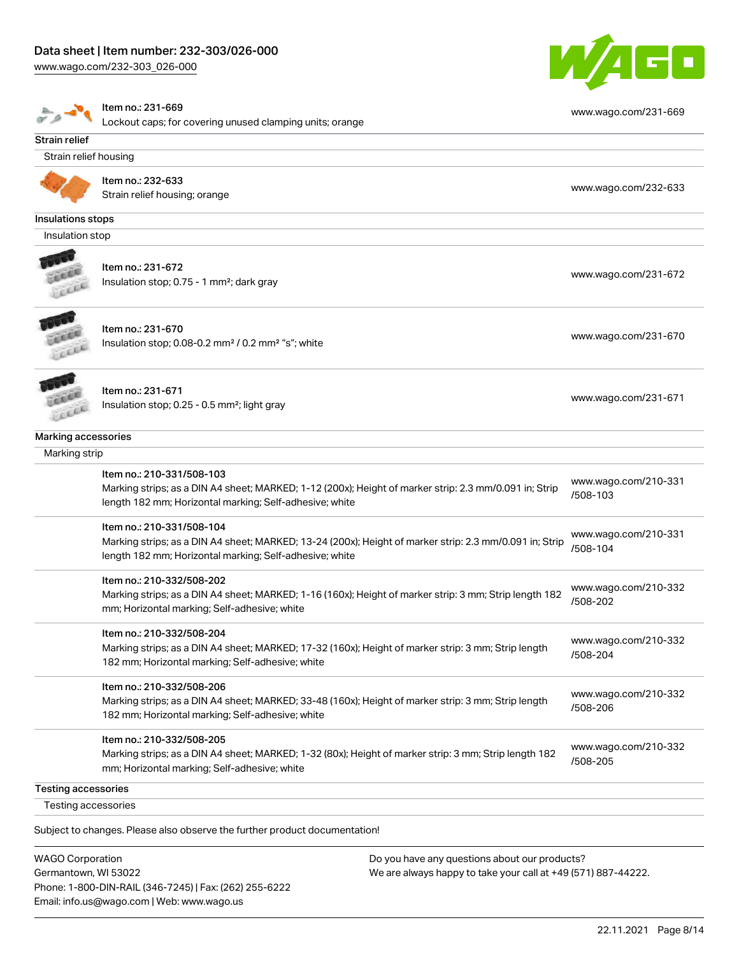#### Data sheet | Item number: 232-303/026-000

[www.wago.com/232-303\\_026-000](http://www.wago.com/232-303_026-000)

Germantown, WI 53022

Phone: 1-800-DIN-RAIL (346-7245) | Fax: (262) 255-6222

Email: info.us@wago.com | Web: www.wago.us





We are always happy to take your call at +49 (571) 887-44222.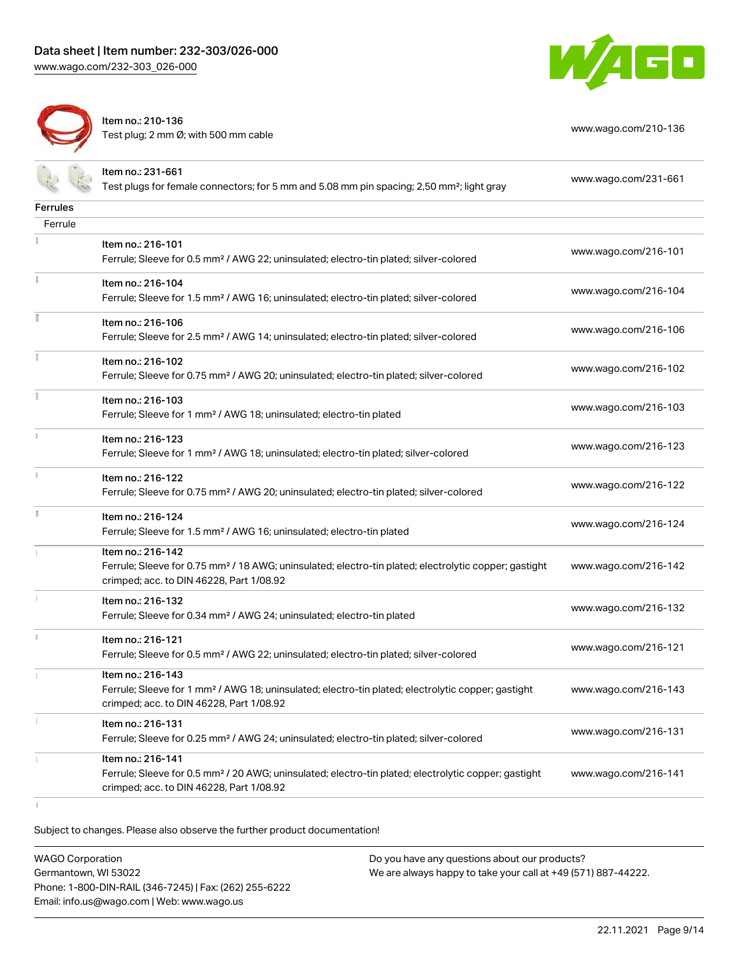



Item no.: 210-136 Test plug; 2 nm Ø; with 500 mm cable [www.wago.com/210-136](http://www.wago.com/210-136)

|                 | Item no.: 231-661                                                                                                                                             |                      |
|-----------------|---------------------------------------------------------------------------------------------------------------------------------------------------------------|----------------------|
|                 | Test plugs for female connectors; for 5 mm and 5.08 mm pin spacing; 2,50 mm <sup>2</sup> ; light gray                                                         | www.wago.com/231-661 |
| <b>Ferrules</b> |                                                                                                                                                               |                      |
| Ferrule         |                                                                                                                                                               |                      |
|                 | Item no.: 216-101                                                                                                                                             |                      |
|                 | Ferrule; Sleeve for 0.5 mm <sup>2</sup> / AWG 22; uninsulated; electro-tin plated; silver-colored                                                             | www.wago.com/216-101 |
| Ĭ.              | Item no.: 216-104                                                                                                                                             |                      |
|                 | Ferrule; Sleeve for 1.5 mm <sup>2</sup> / AWG 16; uninsulated; electro-tin plated; silver-colored                                                             | www.wago.com/216-104 |
| Î               | Item no.: 216-106                                                                                                                                             |                      |
|                 | Ferrule; Sleeve for 2.5 mm <sup>2</sup> / AWG 14; uninsulated; electro-tin plated; silver-colored                                                             | www.wago.com/216-106 |
| ł               | Item no.: 216-102                                                                                                                                             |                      |
|                 | Ferrule; Sleeve for 0.75 mm <sup>2</sup> / AWG 20; uninsulated; electro-tin plated; silver-colored                                                            | www.wago.com/216-102 |
| Ĭ.              | Item no.: 216-103                                                                                                                                             |                      |
|                 | Ferrule; Sleeve for 1 mm <sup>2</sup> / AWG 18; uninsulated; electro-tin plated                                                                               | www.wago.com/216-103 |
|                 | Item no.: 216-123                                                                                                                                             |                      |
|                 | Ferrule; Sleeve for 1 mm <sup>2</sup> / AWG 18; uninsulated; electro-tin plated; silver-colored                                                               | www.wago.com/216-123 |
| î.              | Item no.: 216-122                                                                                                                                             |                      |
|                 | Ferrule; Sleeve for 0.75 mm <sup>2</sup> / AWG 20; uninsulated; electro-tin plated; silver-colored                                                            | www.wago.com/216-122 |
| I.              | Item no.: 216-124                                                                                                                                             |                      |
|                 | Ferrule; Sleeve for 1.5 mm <sup>2</sup> / AWG 16; uninsulated; electro-tin plated                                                                             | www.wago.com/216-124 |
|                 | Item no.: 216-142                                                                                                                                             |                      |
|                 | Ferrule; Sleeve for 0.75 mm <sup>2</sup> / 18 AWG; uninsulated; electro-tin plated; electrolytic copper; gastight<br>crimped; acc. to DIN 46228, Part 1/08.92 | www.wago.com/216-142 |
| $\mathbbm{1}$   | Item no.: 216-132                                                                                                                                             |                      |
|                 | Ferrule; Sleeve for 0.34 mm <sup>2</sup> / AWG 24; uninsulated; electro-tin plated                                                                            | www.wago.com/216-132 |
| î.              | Item no.: 216-121                                                                                                                                             |                      |
|                 | Ferrule; Sleeve for 0.5 mm <sup>2</sup> / AWG 22; uninsulated; electro-tin plated; silver-colored                                                             | www.wago.com/216-121 |
|                 | Item no.: 216-143                                                                                                                                             |                      |
|                 | Ferrule; Sleeve for 1 mm <sup>2</sup> / AWG 18; uninsulated; electro-tin plated; electrolytic copper; gastight                                                | www.wago.com/216-143 |
|                 | crimped; acc. to DIN 46228, Part 1/08.92                                                                                                                      |                      |
|                 | Item no.: 216-131                                                                                                                                             | www.wago.com/216-131 |
|                 | Ferrule; Sleeve for 0.25 mm <sup>2</sup> / AWG 24; uninsulated; electro-tin plated; silver-colored                                                            |                      |
|                 | Item no.: 216-141                                                                                                                                             |                      |
|                 | Ferrule; Sleeve for 0.5 mm <sup>2</sup> / 20 AWG; uninsulated; electro-tin plated; electrolytic copper; gastight<br>crimped; acc. to DIN 46228, Part 1/08.92  | www.wago.com/216-141 |

 $\mathbbm{1}$ 

Subject to changes. Please also observe the further product documentation!

WAGO Corporation Germantown, WI 53022 Phone: 1-800-DIN-RAIL (346-7245) | Fax: (262) 255-6222 Email: info.us@wago.com | Web: www.wago.us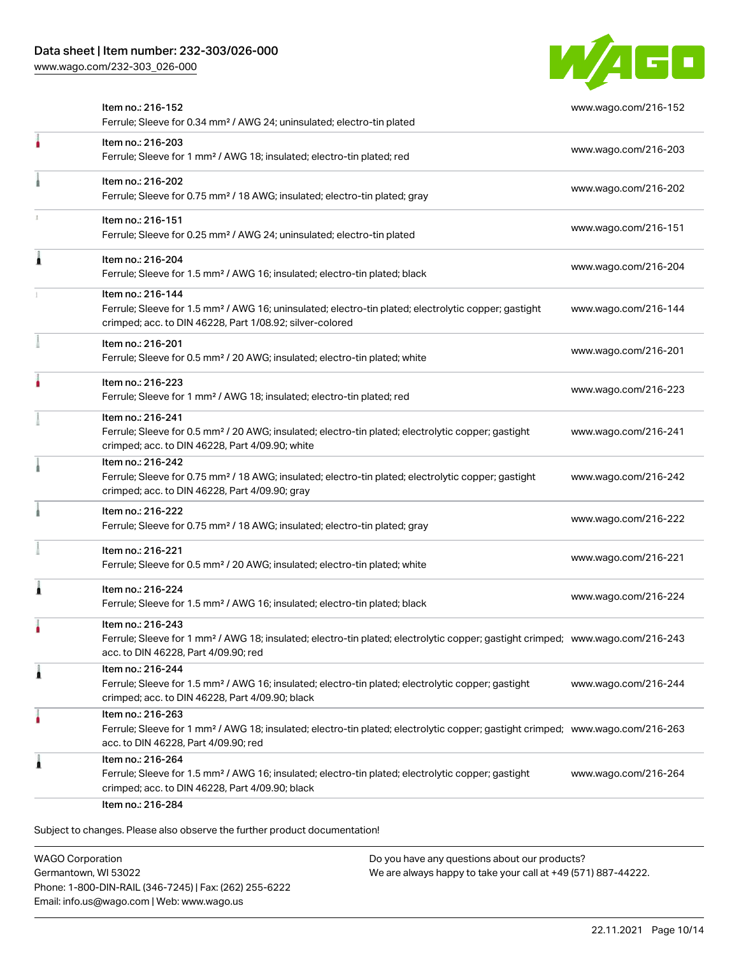

|   | Item no.: 216-152<br>Ferrule; Sleeve for 0.34 mm <sup>2</sup> / AWG 24; uninsulated; electro-tin plated                                                                                                 | www.wago.com/216-152 |
|---|---------------------------------------------------------------------------------------------------------------------------------------------------------------------------------------------------------|----------------------|
| ł | Item no.: 216-203<br>Ferrule; Sleeve for 1 mm <sup>2</sup> / AWG 18; insulated; electro-tin plated; red                                                                                                 | www.wago.com/216-203 |
|   | Item no.: 216-202<br>Ferrule; Sleeve for 0.75 mm <sup>2</sup> / 18 AWG; insulated; electro-tin plated; gray                                                                                             | www.wago.com/216-202 |
|   | Item no.: 216-151<br>Ferrule; Sleeve for 0.25 mm <sup>2</sup> / AWG 24; uninsulated; electro-tin plated                                                                                                 | www.wago.com/216-151 |
|   | Item no.: 216-204<br>Ferrule; Sleeve for 1.5 mm <sup>2</sup> / AWG 16; insulated; electro-tin plated; black                                                                                             | www.wago.com/216-204 |
|   | Item no.: 216-144<br>Ferrule; Sleeve for 1.5 mm <sup>2</sup> / AWG 16; uninsulated; electro-tin plated; electrolytic copper; gastight<br>crimped; acc. to DIN 46228, Part 1/08.92; silver-colored       | www.wago.com/216-144 |
|   | Item no.: 216-201<br>Ferrule; Sleeve for 0.5 mm <sup>2</sup> / 20 AWG; insulated; electro-tin plated; white                                                                                             | www.wago.com/216-201 |
|   | Item no.: 216-223<br>Ferrule; Sleeve for 1 mm <sup>2</sup> / AWG 18; insulated; electro-tin plated; red                                                                                                 | www.wago.com/216-223 |
|   | Item no.: 216-241<br>Ferrule; Sleeve for 0.5 mm <sup>2</sup> / 20 AWG; insulated; electro-tin plated; electrolytic copper; gastight<br>crimped; acc. to DIN 46228, Part 4/09.90; white                  | www.wago.com/216-241 |
|   | Item no.: 216-242<br>Ferrule; Sleeve for 0.75 mm <sup>2</sup> / 18 AWG; insulated; electro-tin plated; electrolytic copper; gastight<br>crimped; acc. to DIN 46228, Part 4/09.90; gray                  | www.wago.com/216-242 |
|   | Item no.: 216-222<br>Ferrule; Sleeve for 0.75 mm <sup>2</sup> / 18 AWG; insulated; electro-tin plated; gray                                                                                             | www.wago.com/216-222 |
|   | Item no.: 216-221<br>Ferrule; Sleeve for 0.5 mm <sup>2</sup> / 20 AWG; insulated; electro-tin plated; white                                                                                             | www.wago.com/216-221 |
|   | Item no.: 216-224<br>Ferrule; Sleeve for 1.5 mm <sup>2</sup> / AWG 16; insulated; electro-tin plated; black                                                                                             | www.wago.com/216-224 |
|   | Item no.: 216-243<br>Ferrule; Sleeve for 1 mm <sup>2</sup> / AWG 18; insulated; electro-tin plated; electrolytic copper; gastight crimped; www.wago.com/216-243<br>acc. to DIN 46228, Part 4/09.90; red |                      |
| л | Item no.: 216-244<br>Ferrule; Sleeve for 1.5 mm <sup>2</sup> / AWG 16; insulated; electro-tin plated; electrolytic copper; gastight<br>crimped; acc. to DIN 46228, Part 4/09.90; black                  | www.wago.com/216-244 |
|   | Item no.: 216-263<br>Ferrule; Sleeve for 1 mm <sup>2</sup> / AWG 18; insulated; electro-tin plated; electrolytic copper; gastight crimped; www.wago.com/216-263<br>acc. to DIN 46228, Part 4/09.90; red |                      |
|   | Item no.: 216-264<br>Ferrule; Sleeve for 1.5 mm <sup>2</sup> / AWG 16; insulated; electro-tin plated; electrolytic copper; gastight<br>crimped; acc. to DIN 46228, Part 4/09.90; black                  | www.wago.com/216-264 |

WAGO Corporation Germantown, WI 53022 Phone: 1-800-DIN-RAIL (346-7245) | Fax: (262) 255-6222 Email: info.us@wago.com | Web: www.wago.us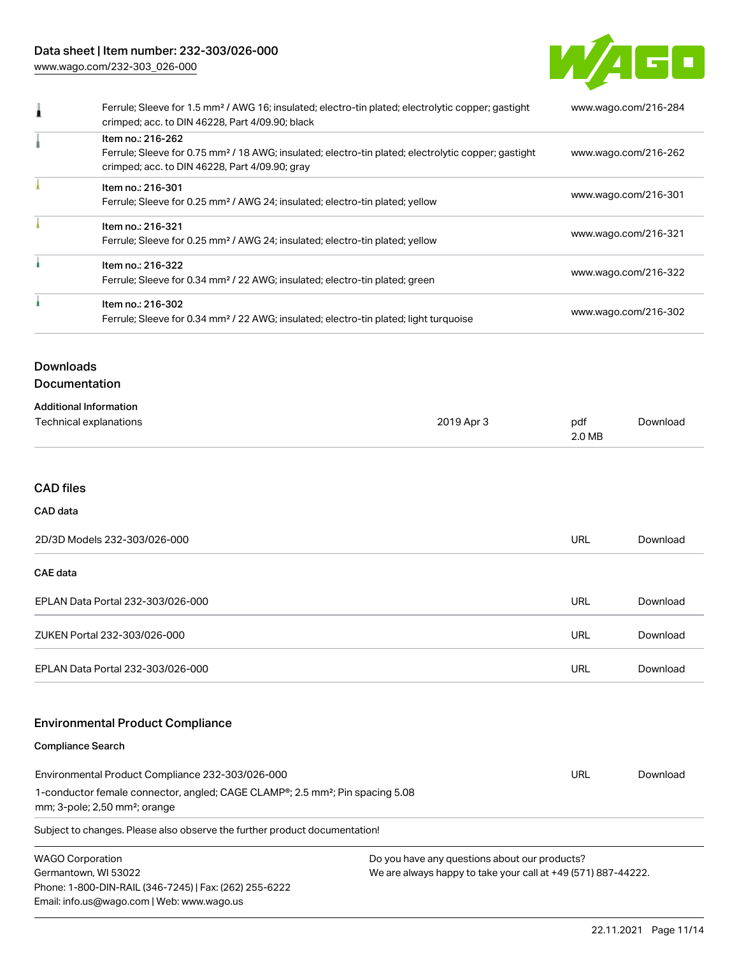## Data sheet | Item number: 232-303/026-000

[www.wago.com/232-303\\_026-000](http://www.wago.com/232-303_026-000)



| Ferrule; Sleeve for 1.5 mm <sup>2</sup> / AWG 16; insulated; electro-tin plated; electrolytic copper; gastight<br>crimped; acc. to DIN 46228, Part 4/09.90; black                      | www.wago.com/216-284 |
|----------------------------------------------------------------------------------------------------------------------------------------------------------------------------------------|----------------------|
| Item no.: 216-262<br>Ferrule; Sleeve for 0.75 mm <sup>2</sup> / 18 AWG; insulated; electro-tin plated; electrolytic copper; gastight<br>crimped; acc. to DIN 46228, Part 4/09.90; gray | www.wago.com/216-262 |
| Item no.: 216-301<br>Ferrule; Sleeve for 0.25 mm <sup>2</sup> / AWG 24; insulated; electro-tin plated; yellow                                                                          | www.wago.com/216-301 |
| Item no.: 216-321<br>Ferrule; Sleeve for 0.25 mm <sup>2</sup> / AWG 24; insulated; electro-tin plated; yellow                                                                          | www.wago.com/216-321 |
| Item no.: 216-322<br>Ferrule; Sleeve for 0.34 mm <sup>2</sup> / 22 AWG; insulated; electro-tin plated; green                                                                           | www.wago.com/216-322 |
| Item no.: 216-302<br>Ferrule; Sleeve for 0.34 mm <sup>2</sup> / 22 AWG; insulated; electro-tin plated; light turquoise                                                                 | www.wago.com/216-302 |

# **Downloads**

## Documentation

| <b>Additional Information</b> |            |               |          |
|-------------------------------|------------|---------------|----------|
| Technical explanations        | 2019 Apr 3 | pdf<br>2.0 MB | Download |

## CAD files

#### CAD data

| 2D/3D Models 232-303/026-000      |     | Download |
|-----------------------------------|-----|----------|
| CAE data                          |     |          |
| EPLAN Data Portal 232-303/026-000 | URL | Download |
| ZUKEN Portal 232-303/026-000      | URL | Download |
| EPLAN Data Portal 232-303/026-000 | URL | Download |

## Environmental Product Compliance

#### Compliance Search

| Subject to changes. Please also observe the further product documentation!                |     |          |  |  |
|-------------------------------------------------------------------------------------------|-----|----------|--|--|
| $mm;$ 3-pole; 2,50 $mm^2$ ; orange                                                        |     |          |  |  |
| 1-conductor female connector, angled; CAGE CLAMP®; 2.5 mm <sup>2</sup> ; Pin spacing 5.08 |     |          |  |  |
| Environmental Product Compliance 232-303/026-000                                          | URL | Download |  |  |

WAGO Corporation Germantown, WI 53022 Phone: 1-800-DIN-RAIL (346-7245) | Fax: (262) 255-6222 Email: info.us@wago.com | Web: www.wago.us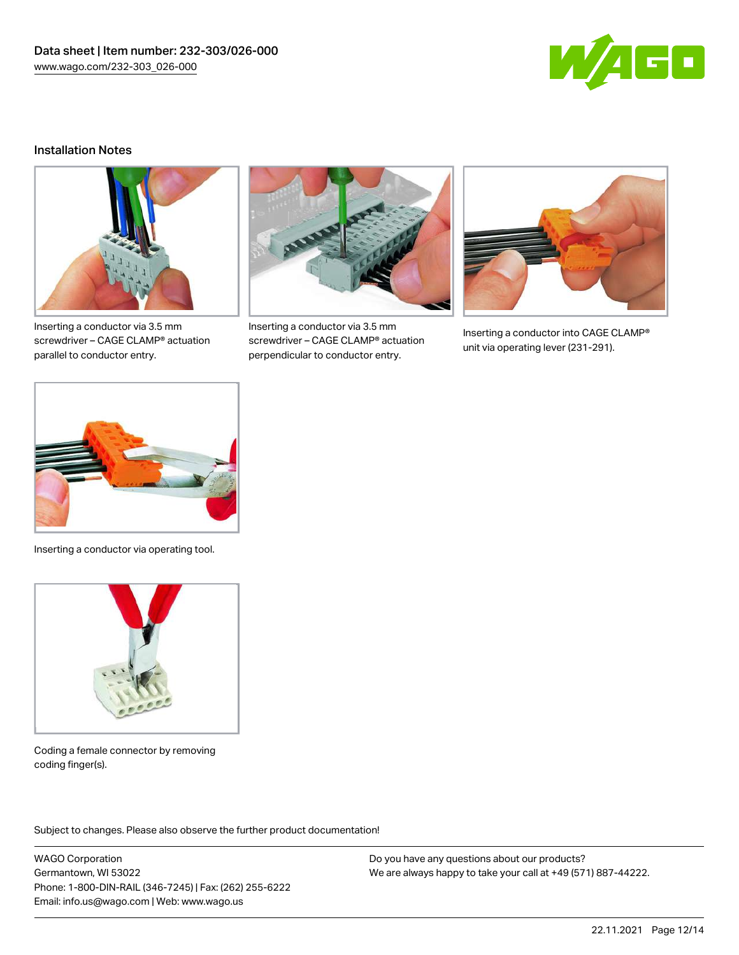

#### Installation Notes



Inserting a conductor via 3.5 mm screwdriver – CAGE CLAMP® actuation parallel to conductor entry.



Inserting a conductor via 3.5 mm screwdriver – CAGE CLAMP® actuation perpendicular to conductor entry.



Inserting a conductor into CAGE CLAMP® unit via operating lever (231-291).



Inserting a conductor via operating tool.



Coding a female connector by removing coding finger(s).

Subject to changes. Please also observe the further product documentation!

WAGO Corporation Germantown, WI 53022 Phone: 1-800-DIN-RAIL (346-7245) | Fax: (262) 255-6222 Email: info.us@wago.com | Web: www.wago.us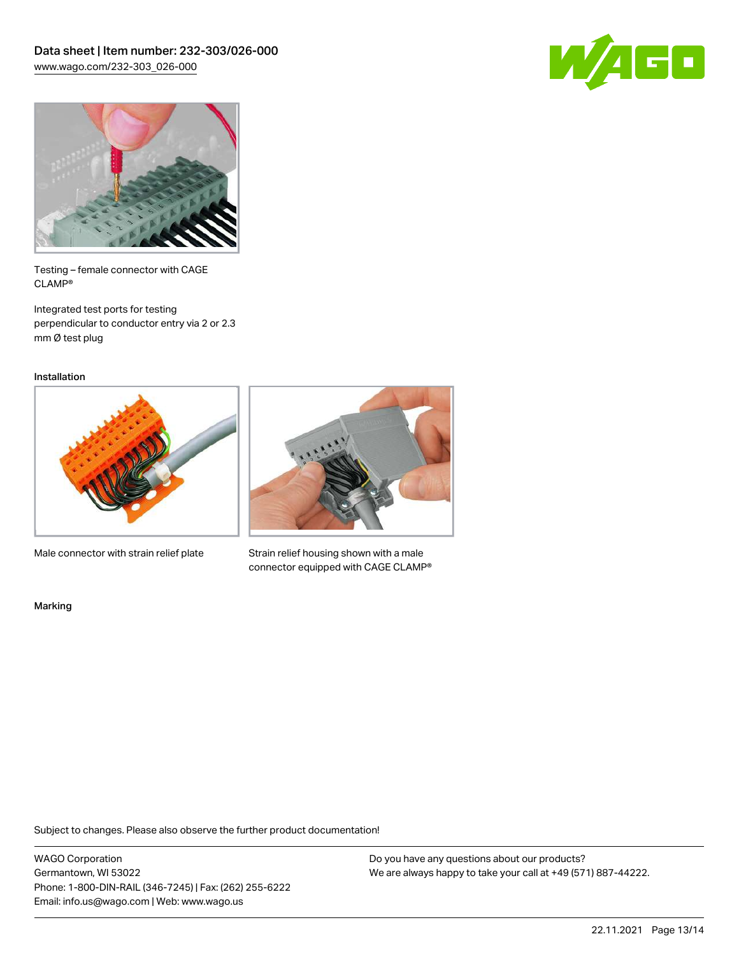



Testing – female connector with CAGE CLAMP®

Integrated test ports for testing perpendicular to conductor entry via 2 or 2.3 mm Ø test plug

Installation



Male connector with strain relief plate



Strain relief housing shown with a male connector equipped with CAGE CLAMP®

Marking

Subject to changes. Please also observe the further product documentation!

WAGO Corporation Germantown, WI 53022 Phone: 1-800-DIN-RAIL (346-7245) | Fax: (262) 255-6222 Email: info.us@wago.com | Web: www.wago.us